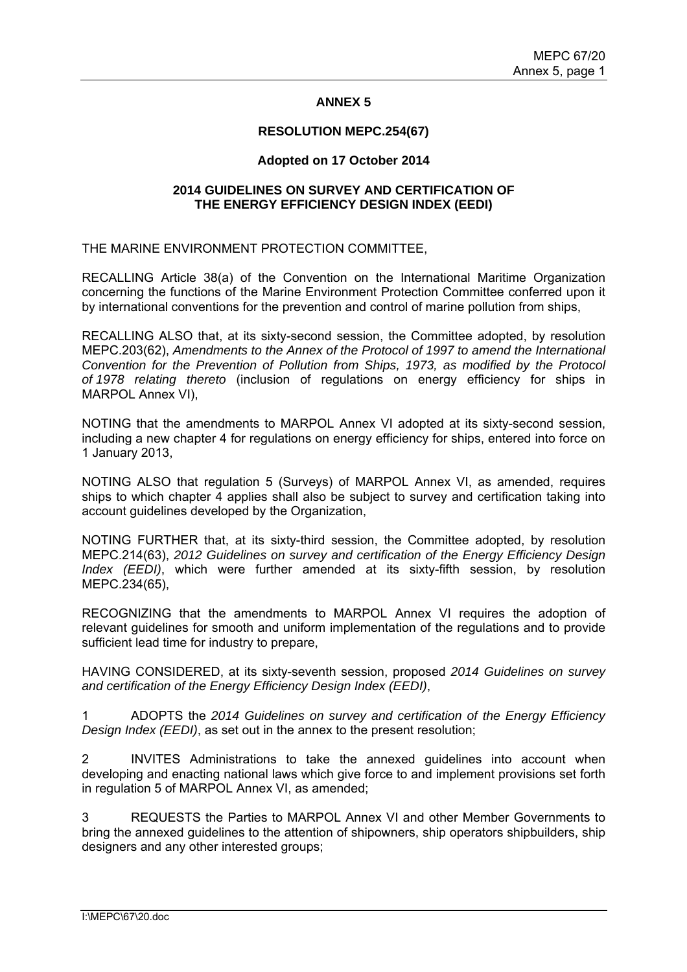#### **ANNEX 5**

#### **RESOLUTION MEPC.254(67)**

#### **Adopted on 17 October 2014**

#### **2014 GUIDELINES ON SURVEY AND CERTIFICATION OF THE ENERGY EFFICIENCY DESIGN INDEX (EEDI)**

THE MARINE ENVIRONMENT PROTECTION COMMITTEE,

RECALLING Article 38(a) of the Convention on the International Maritime Organization concerning the functions of the Marine Environment Protection Committee conferred upon it by international conventions for the prevention and control of marine pollution from ships,

RECALLING ALSO that, at its sixty-second session, the Committee adopted, by resolution MEPC.203(62), *Amendments to the Annex of the Protocol of 1997 to amend the International Convention for the Prevention of Pollution from Ships, 1973, as modified by the Protocol of 1978 relating thereto* (inclusion of regulations on energy efficiency for ships in MARPOL Annex VI),

NOTING that the amendments to MARPOL Annex VI adopted at its sixty-second session, including a new chapter 4 for regulations on energy efficiency for ships, entered into force on 1 January 2013,

NOTING ALSO that regulation 5 (Surveys) of MARPOL Annex VI, as amended, requires ships to which chapter 4 applies shall also be subject to survey and certification taking into account guidelines developed by the Organization,

NOTING FURTHER that, at its sixty-third session, the Committee adopted, by resolution MEPC.214(63), *2012 Guidelines on survey and certification of the Energy Efficiency Design Index (EEDI)*, which were further amended at its sixty-fifth session, by resolution MEPC.234(65),

RECOGNIZING that the amendments to MARPOL Annex VI requires the adoption of relevant guidelines for smooth and uniform implementation of the regulations and to provide sufficient lead time for industry to prepare,

HAVING CONSIDERED, at its sixty-seventh session, proposed *2014 Guidelines on survey and certification of the Energy Efficiency Design Index (EEDI)*,

1 ADOPTS the *2014 Guidelines on survey and certification of the Energy Efficiency Design Index (EEDI)*, as set out in the annex to the present resolution;

2 INVITES Administrations to take the annexed guidelines into account when developing and enacting national laws which give force to and implement provisions set forth in regulation 5 of MARPOL Annex VI, as amended;

3 REQUESTS the Parties to MARPOL Annex VI and other Member Governments to bring the annexed guidelines to the attention of shipowners, ship operators shipbuilders, ship designers and any other interested groups;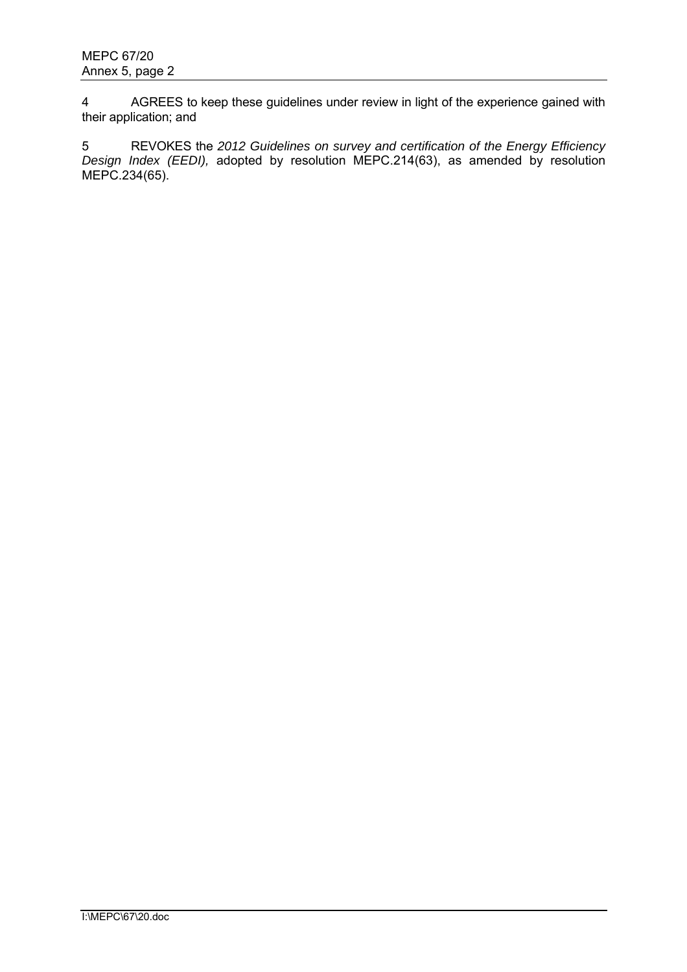4 AGREES to keep these guidelines under review in light of the experience gained with their application; and

5 REVOKES the *2012 Guidelines on survey and certification of the Energy Efficiency Design Index (EEDI),* adopted by resolution MEPC.214(63), as amended by resolution MEPC.234(65).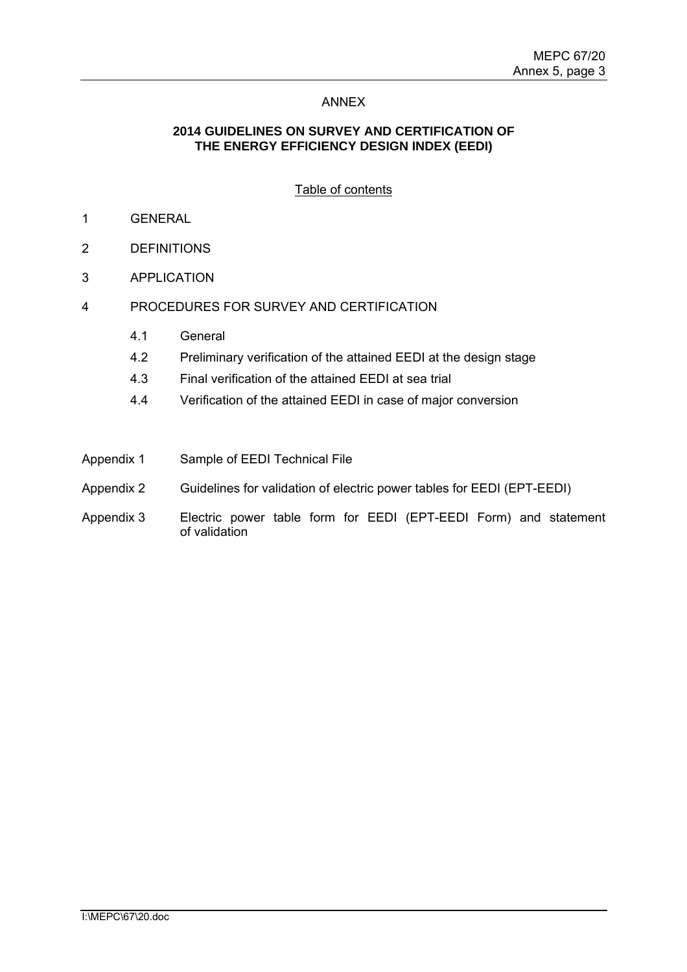### ANNEX

### **2014 GUIDELINES ON SURVEY AND CERTIFICATION OF THE ENERGY EFFICIENCY DESIGN INDEX (EEDI)**

## Table of contents

- 1 GENERAL
- 2 DEFINITIONS
- 3 APPLICATION
- 4 PROCEDURES FOR SURVEY AND CERTIFICATION
	- 4.1 General
	- 4.2 Preliminary verification of the attained EEDI at the design stage
	- 4.3 Final verification of the attained EEDI at sea trial
	- 4.4 Verification of the attained EEDI in case of major conversion
- Appendix 1 Sample of EEDI Technical File
- Appendix 2 Guidelines for validation of electric power tables for EEDI (EPT-EEDI)
- Appendix 3 Electric power table form for EEDI (EPT-EEDI Form) and statement of validation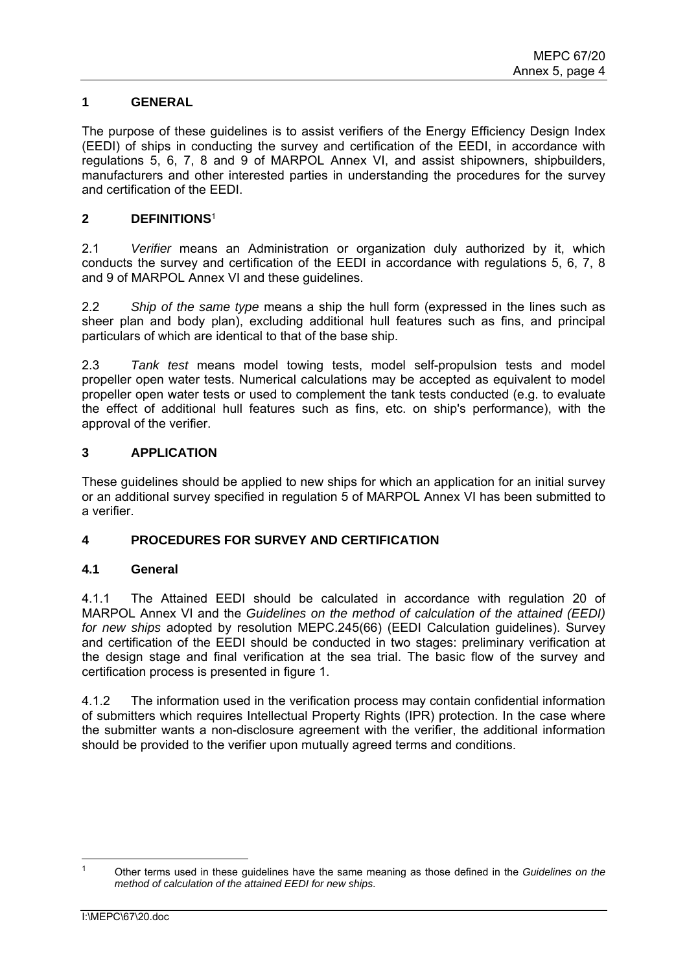## **1 GENERAL**

The purpose of these guidelines is to assist verifiers of the Energy Efficiency Design Index (EEDI) of ships in conducting the survey and certification of the EEDI, in accordance with regulations 5, 6, 7, 8 and 9 of MARPOL Annex VI, and assist shipowners, shipbuilders, manufacturers and other interested parties in understanding the procedures for the survey and certification of the EEDI.

### **2 DEFINITIONS**<sup>1</sup>

2.1 *Verifier* means an Administration or organization duly authorized by it, which conducts the survey and certification of the EEDI in accordance with regulations 5, 6, 7, 8 and 9 of MARPOL Annex VI and these guidelines.

2.2 *Ship of the same type* means a ship the hull form (expressed in the lines such as sheer plan and body plan), excluding additional hull features such as fins, and principal particulars of which are identical to that of the base ship.

2.3 *Tank test* means model towing tests, model self-propulsion tests and model propeller open water tests. Numerical calculations may be accepted as equivalent to model propeller open water tests or used to complement the tank tests conducted (e.g. to evaluate the effect of additional hull features such as fins, etc. on ship's performance), with the approval of the verifier.

### **3 APPLICATION**

These guidelines should be applied to new ships for which an application for an initial survey or an additional survey specified in regulation 5 of MARPOL Annex VI has been submitted to a verifier.

### **4 PROCEDURES FOR SURVEY AND CERTIFICATION**

### **4.1 General**

4.1.1 The Attained EEDI should be calculated in accordance with regulation 20 of MARPOL Annex VI and the *Guidelines on the method of calculation of the attained (EEDI) for new ships* adopted by resolution MEPC.245(66) (EEDI Calculation guidelines). Survey and certification of the EEDI should be conducted in two stages: preliminary verification at the design stage and final verification at the sea trial. The basic flow of the survey and certification process is presented in figure 1.

4.1.2 The information used in the verification process may contain confidential information of submitters which requires Intellectual Property Rights (IPR) protection. In the case where the submitter wants a non-disclosure agreement with the verifier, the additional information should be provided to the verifier upon mutually agreed terms and conditions.

 1 Other terms used in these guidelines have the same meaning as those defined in the *Guidelines on the method of calculation of the attained EEDI for new ships*.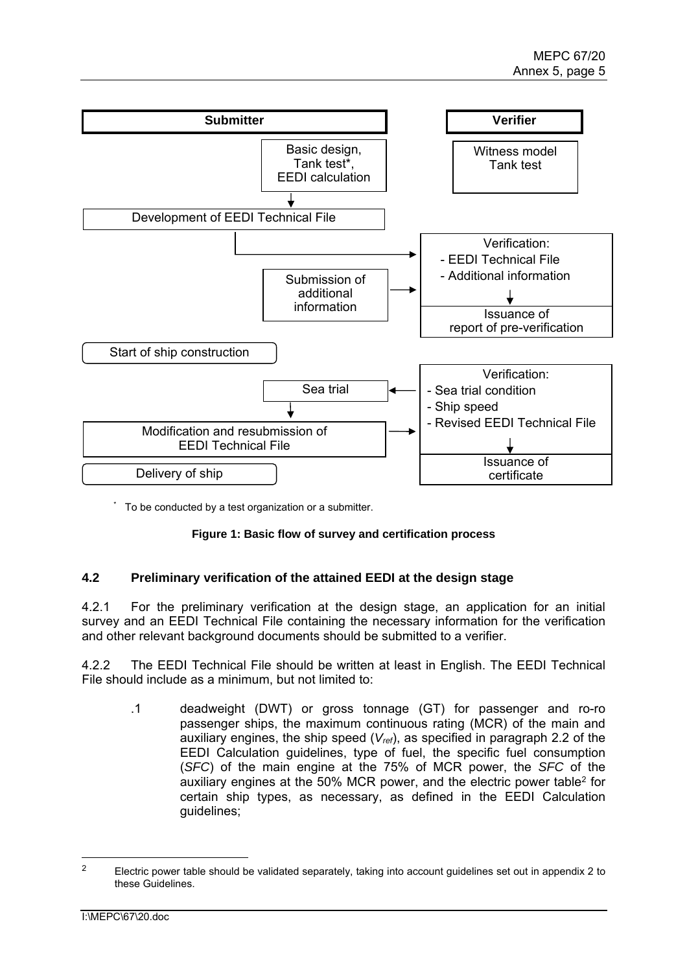

\* To be conducted by a test organization or a submitter.

### **Figure 1: Basic flow of survey and certification process**

### **4.2 Preliminary verification of the attained EEDI at the design stage**

4.2.1 For the preliminary verification at the design stage, an application for an initial survey and an EEDI Technical File containing the necessary information for the verification and other relevant background documents should be submitted to a verifier.

4.2.2 The EEDI Technical File should be written at least in English. The EEDI Technical File should include as a minimum, but not limited to:

.1 deadweight (DWT) or gross tonnage (GT) for passenger and ro-ro passenger ships, the maximum continuous rating (MCR) of the main and auxiliary engines, the ship speed (*Vref*), as specified in paragraph 2.2 of the EEDI Calculation guidelines, type of fuel, the specific fuel consumption (*SFC*) of the main engine at the 75% of MCR power, the *SFC* of the auxiliary engines at the 50% MCR power, and the electric power table2 for certain ship types, as necessary, as defined in the EEDI Calculation guidelines;

 $\overline{a}$ 

<sup>&</sup>lt;sup>2</sup> Electric power table should be validated separately, taking into account guidelines set out in appendix 2 to these Guidelines.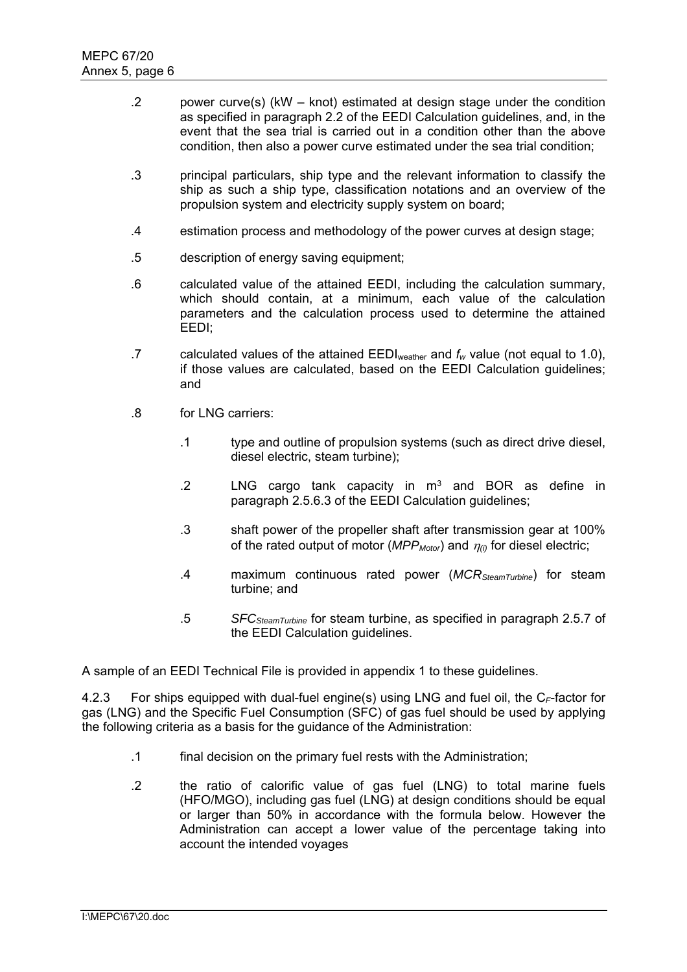- .2 power curve(s) (kW knot) estimated at design stage under the condition as specified in paragraph 2.2 of the EEDI Calculation guidelines, and, in the event that the sea trial is carried out in a condition other than the above condition, then also a power curve estimated under the sea trial condition;
- .3 principal particulars, ship type and the relevant information to classify the ship as such a ship type, classification notations and an overview of the propulsion system and electricity supply system on board;
- .4 estimation process and methodology of the power curves at design stage;
- .5 description of energy saving equipment;
- .6 calculated value of the attained EEDI, including the calculation summary, which should contain, at a minimum, each value of the calculation parameters and the calculation process used to determine the attained EEDI;
- .7 calculated values of the attained EEDIweather and *fw* value (not equal to 1.0), if those values are calculated, based on the EEDI Calculation guidelines; and
- .8 for LNG carriers:
	- .1 type and outline of propulsion systems (such as direct drive diesel, diesel electric, steam turbine);
	- .2 LNG cargo tank capacity in  $m<sup>3</sup>$  and BOR as define in paragraph 2.5.6.3 of the EEDI Calculation guidelines;
	- .3 shaft power of the propeller shaft after transmission gear at 100% of the rated output of motor ( $MPP<sub>Motor</sub>$ ) and  $\eta_{(i)}$  for diesel electric;
	- .4 maximum continuous rated power (*MCRSteamTurbine*) for steam turbine; and
	- .5 *SFCSteamTurbine* for steam turbine, as specified in paragraph 2.5.7 of the EEDI Calculation guidelines.

A sample of an EEDI Technical File is provided in appendix 1 to these guidelines.

4.2.3 For ships equipped with dual-fuel engine(s) using LNG and fuel oil, the C<sub>F</sub>-factor for gas (LNG) and the Specific Fuel Consumption (SFC) of gas fuel should be used by applying the following criteria as a basis for the guidance of the Administration:

- .1 final decision on the primary fuel rests with the Administration;
- .2 the ratio of calorific value of gas fuel (LNG) to total marine fuels (HFO/MGO), including gas fuel (LNG) at design conditions should be equal or larger than 50% in accordance with the formula below. However the Administration can accept a lower value of the percentage taking into account the intended voyages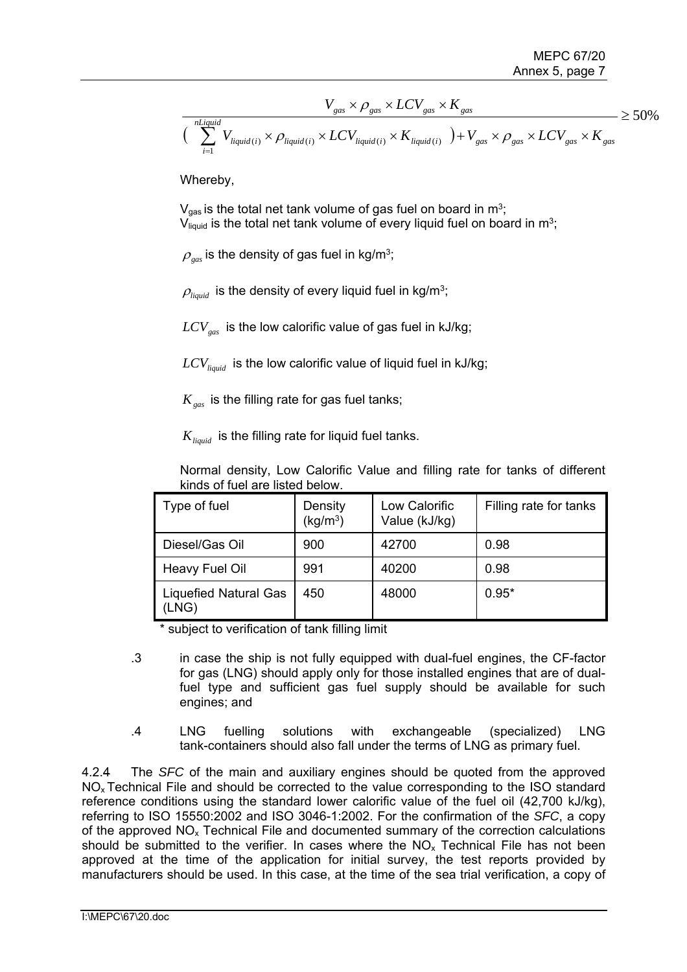$$
V_{gas} \times \rho_{gas} \times LCV_{gas} \times K_{gas}
$$
  

$$
\left(\sum_{i=1}^{nLiquid} V_{liquid(i)} \times \rho_{liquid(i)} \times LCV_{liquid(i)} \times K_{liquid(i)} \right) + V_{gas} \times \rho_{gas} \times LCV_{gas} \times K_{gas}
$$

Whereby,

 $V_{gas}$  is the total net tank volume of gas fuel on board in m<sup>3</sup>;  $V_{liquid}$  is the total net tank volume of every liquid fuel on board in m<sup>3</sup>;

 $\rho_{\text{\tiny{gas}}}$  is the density of gas fuel in kg/m<sup>3</sup>;

 $\rho_{\text{liquid}}$  is the density of every liquid fuel in kg/m<sup>3</sup>;

 $LCV_{gas}$  is the low calorific value of gas fuel in kJ/kg;

 $LCV_{liquid}$  is the low calorific value of liquid fuel in kJ/kg;

*K<sub>gas</sub>* is the filling rate for gas fuel tanks;

 $K_{\text{liquid}}$  is the filling rate for liquid fuel tanks.

Normal density, Low Calorific Value and filling rate for tanks of different kinds of fuel are listed below.

| Type of fuel                   | Density<br>(kg/m <sup>3</sup> ) | Low Calorific<br>Value (kJ/kg) | Filling rate for tanks |
|--------------------------------|---------------------------------|--------------------------------|------------------------|
| Diesel/Gas Oil                 | 900                             | 42700                          | 0.98                   |
| Heavy Fuel Oil                 | 991                             | 40200                          | 0.98                   |
| Liquefied Natural Gas<br>(LNG) | 450                             | 48000                          | $0.95*$                |

\* subject to verification of tank filling limit

- .3 in case the ship is not fully equipped with dual-fuel engines, the CF-factor for gas (LNG) should apply only for those installed engines that are of dualfuel type and sufficient gas fuel supply should be available for such engines; and
- .4 LNG fuelling solutions with exchangeable (specialized) LNG tank-containers should also fall under the terms of LNG as primary fuel.

4.2.4 The *SFC* of the main and auxiliary engines should be quoted from the approved NOx Technical File and should be corrected to the value corresponding to the ISO standard reference conditions using the standard lower calorific value of the fuel oil (42,700 kJ/kg), referring to ISO 15550:2002 and ISO 3046-1:2002. For the confirmation of the *SFC*, a copy of the approved  $NO<sub>x</sub>$  Technical File and documented summary of the correction calculations should be submitted to the verifier. In cases where the  $NO<sub>x</sub>$  Technical File has not been approved at the time of the application for initial survey, the test reports provided by manufacturers should be used. In this case, at the time of the sea trial verification, a copy of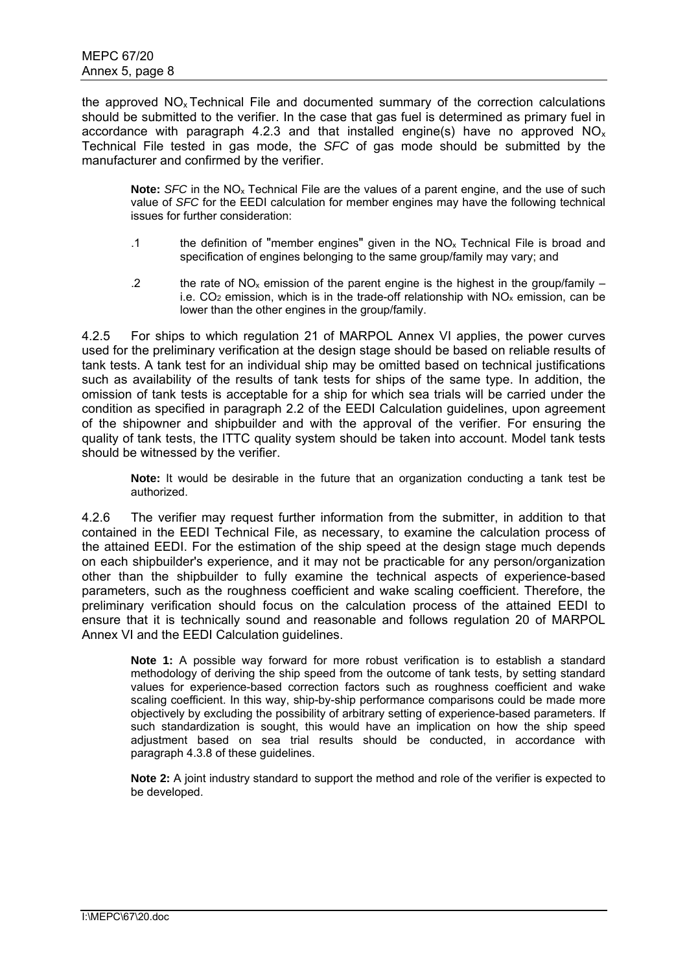the approved NOx Technical File and documented summary of the correction calculations should be submitted to the verifier. In the case that gas fuel is determined as primary fuel in accordance with paragraph 4.2.3 and that installed engine(s) have no approved  $NO<sub>x</sub>$ Technical File tested in gas mode, the *SFC* of gas mode should be submitted by the manufacturer and confirmed by the verifier.

**Note:** *SFC* in the NOx Technical File are the values of a parent engine, and the use of such value of *SFC* for the EEDI calculation for member engines may have the following technical issues for further consideration:

- .1 the definition of "member engines" given in the NOx Technical File is broad and specification of engines belonging to the same group/family may vary; and
- .2 the rate of  $NO_x$  emission of the parent engine is the highest in the group/family i.e.  $CO<sub>2</sub>$  emission, which is in the trade-off relationship with  $NO<sub>x</sub>$  emission, can be lower than the other engines in the group/family.

4.2.5 For ships to which regulation 21 of MARPOL Annex VI applies, the power curves used for the preliminary verification at the design stage should be based on reliable results of tank tests. A tank test for an individual ship may be omitted based on technical justifications such as availability of the results of tank tests for ships of the same type. In addition, the omission of tank tests is acceptable for a ship for which sea trials will be carried under the condition as specified in paragraph 2.2 of the EEDI Calculation guidelines, upon agreement of the shipowner and shipbuilder and with the approval of the verifier. For ensuring the quality of tank tests, the ITTC quality system should be taken into account. Model tank tests should be witnessed by the verifier.

**Note:** It would be desirable in the future that an organization conducting a tank test be authorized.

4.2.6 The verifier may request further information from the submitter, in addition to that contained in the EEDI Technical File, as necessary, to examine the calculation process of the attained EEDI. For the estimation of the ship speed at the design stage much depends on each shipbuilder's experience, and it may not be practicable for any person/organization other than the shipbuilder to fully examine the technical aspects of experience-based parameters, such as the roughness coefficient and wake scaling coefficient. Therefore, the preliminary verification should focus on the calculation process of the attained EEDI to ensure that it is technically sound and reasonable and follows regulation 20 of MARPOL Annex VI and the EEDI Calculation guidelines.

**Note 1:** A possible way forward for more robust verification is to establish a standard methodology of deriving the ship speed from the outcome of tank tests, by setting standard values for experience-based correction factors such as roughness coefficient and wake scaling coefficient. In this way, ship-by-ship performance comparisons could be made more objectively by excluding the possibility of arbitrary setting of experience-based parameters. If such standardization is sought, this would have an implication on how the ship speed adjustment based on sea trial results should be conducted, in accordance with paragraph 4.3.8 of these guidelines.

**Note 2:** A joint industry standard to support the method and role of the verifier is expected to be developed.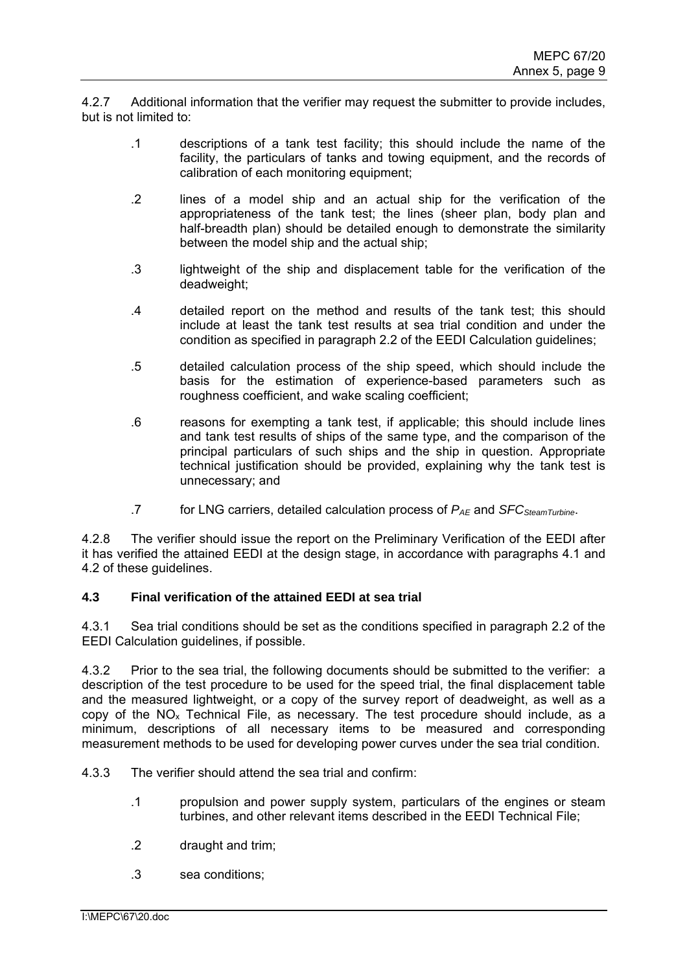4.2.7 Additional information that the verifier may request the submitter to provide includes, but is not limited to:

- .1 descriptions of a tank test facility; this should include the name of the facility, the particulars of tanks and towing equipment, and the records of calibration of each monitoring equipment;
- .2 lines of a model ship and an actual ship for the verification of the appropriateness of the tank test; the lines (sheer plan, body plan and half-breadth plan) should be detailed enough to demonstrate the similarity between the model ship and the actual ship;
- .3 lightweight of the ship and displacement table for the verification of the deadweight;
- .4 detailed report on the method and results of the tank test; this should include at least the tank test results at sea trial condition and under the condition as specified in paragraph 2.2 of the EEDI Calculation guidelines;
- .5 detailed calculation process of the ship speed, which should include the basis for the estimation of experience-based parameters such as roughness coefficient, and wake scaling coefficient;
- .6 reasons for exempting a tank test, if applicable; this should include lines and tank test results of ships of the same type, and the comparison of the principal particulars of such ships and the ship in question. Appropriate technical justification should be provided, explaining why the tank test is unnecessary; and
- .7 for LNG carriers, detailed calculation process of  $P_{AE}$  and *SFC<sub>SteamTurbine*.</sub>

4.2.8 The verifier should issue the report on the Preliminary Verification of the EEDI after it has verified the attained EEDI at the design stage, in accordance with paragraphs 4.1 and 4.2 of these guidelines.

### **4.3 Final verification of the attained EEDI at sea trial**

4.3.1 Sea trial conditions should be set as the conditions specified in paragraph 2.2 of the EEDI Calculation guidelines, if possible.

4.3.2 Prior to the sea trial, the following documents should be submitted to the verifier: a description of the test procedure to be used for the speed trial, the final displacement table and the measured lightweight, or a copy of the survey report of deadweight, as well as a copy of the  $NO<sub>x</sub>$  Technical File, as necessary. The test procedure should include, as a minimum, descriptions of all necessary items to be measured and corresponding measurement methods to be used for developing power curves under the sea trial condition.

- 4.3.3 The verifier should attend the sea trial and confirm:
	- .1 propulsion and power supply system, particulars of the engines or steam turbines, and other relevant items described in the EEDI Technical File;
	- .2 draught and trim;
	- .3 sea conditions;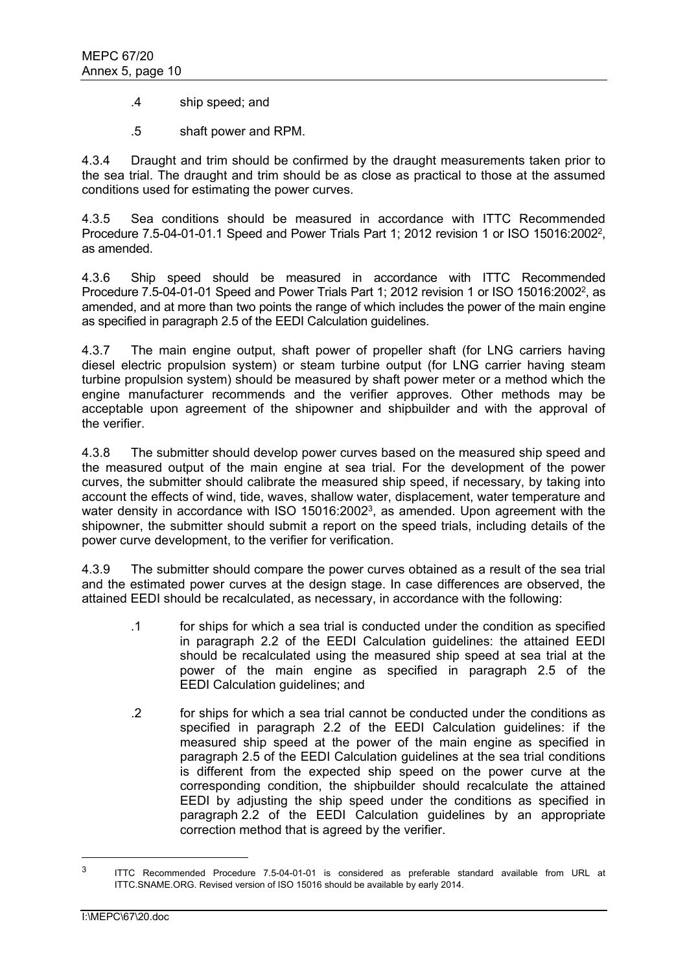- .4 ship speed; and
- .5 shaft power and RPM.

4.3.4 Draught and trim should be confirmed by the draught measurements taken prior to the sea trial. The draught and trim should be as close as practical to those at the assumed conditions used for estimating the power curves.

4.3.5 Sea conditions should be measured in accordance with ITTC Recommended Procedure 7.5-04-01-01.1 Speed and Power Trials Part 1; 2012 revision 1 or ISO 15016:20022, as amended.

4.3.6 Ship speed should be measured in accordance with ITTC Recommended Procedure 7.5-04-01-01 Speed and Power Trials Part 1; 2012 revision 1 or ISO 15016:20022, as amended, and at more than two points the range of which includes the power of the main engine as specified in paragraph 2.5 of the EEDI Calculation guidelines.

4.3.7 The main engine output, shaft power of propeller shaft (for LNG carriers having diesel electric propulsion system) or steam turbine output (for LNG carrier having steam turbine propulsion system) should be measured by shaft power meter or a method which the engine manufacturer recommends and the verifier approves. Other methods may be acceptable upon agreement of the shipowner and shipbuilder and with the approval of the verifier.

4.3.8 The submitter should develop power curves based on the measured ship speed and the measured output of the main engine at sea trial. For the development of the power curves, the submitter should calibrate the measured ship speed, if necessary, by taking into account the effects of wind, tide, waves, shallow water, displacement, water temperature and water density in accordance with ISO 15016:2002<sup>3</sup>, as amended. Upon agreement with the shipowner, the submitter should submit a report on the speed trials, including details of the power curve development, to the verifier for verification.

4.3.9 The submitter should compare the power curves obtained as a result of the sea trial and the estimated power curves at the design stage. In case differences are observed, the attained EEDI should be recalculated, as necessary, in accordance with the following:

- .1 for ships for which a sea trial is conducted under the condition as specified in paragraph 2.2 of the EEDI Calculation guidelines: the attained EEDI should be recalculated using the measured ship speed at sea trial at the power of the main engine as specified in paragraph 2.5 of the EEDI Calculation guidelines; and
- .2 for ships for which a sea trial cannot be conducted under the conditions as specified in paragraph 2.2 of the EEDI Calculation guidelines: if the measured ship speed at the power of the main engine as specified in paragraph 2.5 of the EEDI Calculation guidelines at the sea trial conditions is different from the expected ship speed on the power curve at the corresponding condition, the shipbuilder should recalculate the attained EEDI by adjusting the ship speed under the conditions as specified in paragraph 2.2 of the EEDI Calculation guidelines by an appropriate correction method that is agreed by the verifier.

 $\overline{a}$ 

<sup>&</sup>lt;sup>3</sup> ITTC Recommended Procedure 7.5-04-01-01 is considered as preferable standard available from URL at ITTC.SNAME.ORG. Revised version of ISO 15016 should be available by early 2014.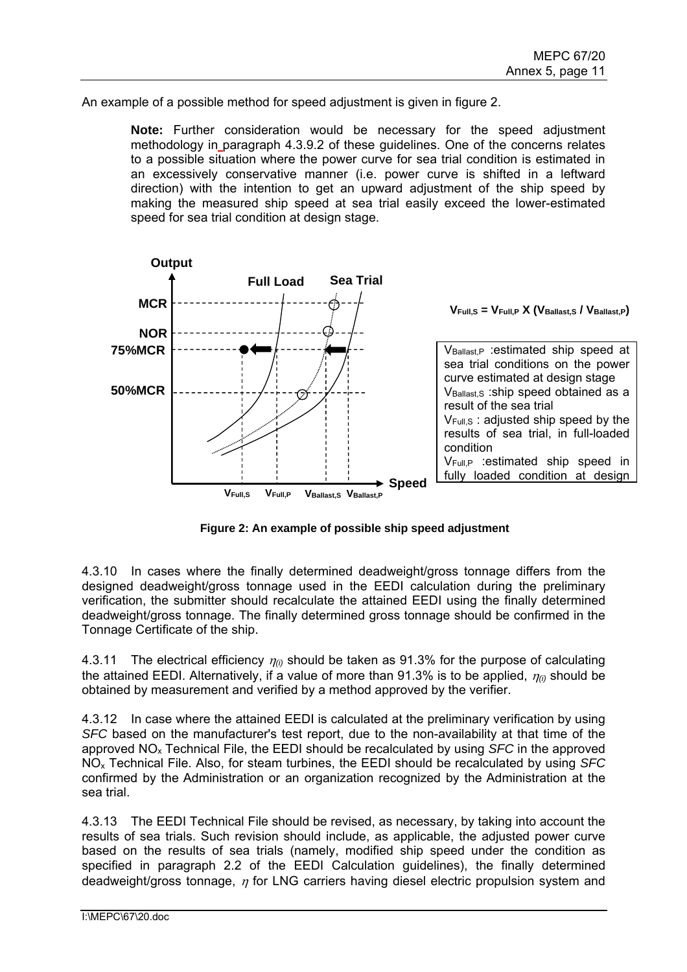An example of a possible method for speed adjustment is given in figure 2.

**Note:** Further consideration would be necessary for the speed adjustment methodology in paragraph 4.3.9.2 of these guidelines. One of the concerns relates to a possible situation where the power curve for sea trial condition is estimated in an excessively conservative manner (i.e. power curve is shifted in a leftward direction) with the intention to get an upward adjustment of the ship speed by making the measured ship speed at sea trial easily exceed the lower-estimated speed for sea trial condition at design stage.



**Figure 2: An example of possible ship speed adjustment** 

4.3.10 In cases where the finally determined deadweight/gross tonnage differs from the designed deadweight/gross tonnage used in the EEDI calculation during the preliminary verification, the submitter should recalculate the attained EEDI using the finally determined deadweight/gross tonnage. The finally determined gross tonnage should be confirmed in the Tonnage Certificate of the ship.

4.3.11 The electrical efficiency *(i)* should be taken as 91.3% for the purpose of calculating the attained EEDI. Alternatively, if a value of more than 91.3% is to be applied,  $\eta_{ij}$  should be obtained by measurement and verified by a method approved by the verifier.

4.3.12 In case where the attained EEDI is calculated at the preliminary verification by using *SFC* based on the manufacturer's test report, due to the non-availability at that time of the approved NOx Technical File, the EEDI should be recalculated by using *SFC* in the approved NOx Technical File. Also, for steam turbines, the EEDI should be recalculated by using *SFC* confirmed by the Administration or an organization recognized by the Administration at the sea trial.

4.3.13 The EEDI Technical File should be revised, as necessary, by taking into account the results of sea trials. Such revision should include, as applicable, the adjusted power curve based on the results of sea trials (namely, modified ship speed under the condition as specified in paragraph 2.2 of the EEDI Calculation guidelines), the finally determined deadweight/gross tonnage,  $\eta$  for LNG carriers having diesel electric propulsion system and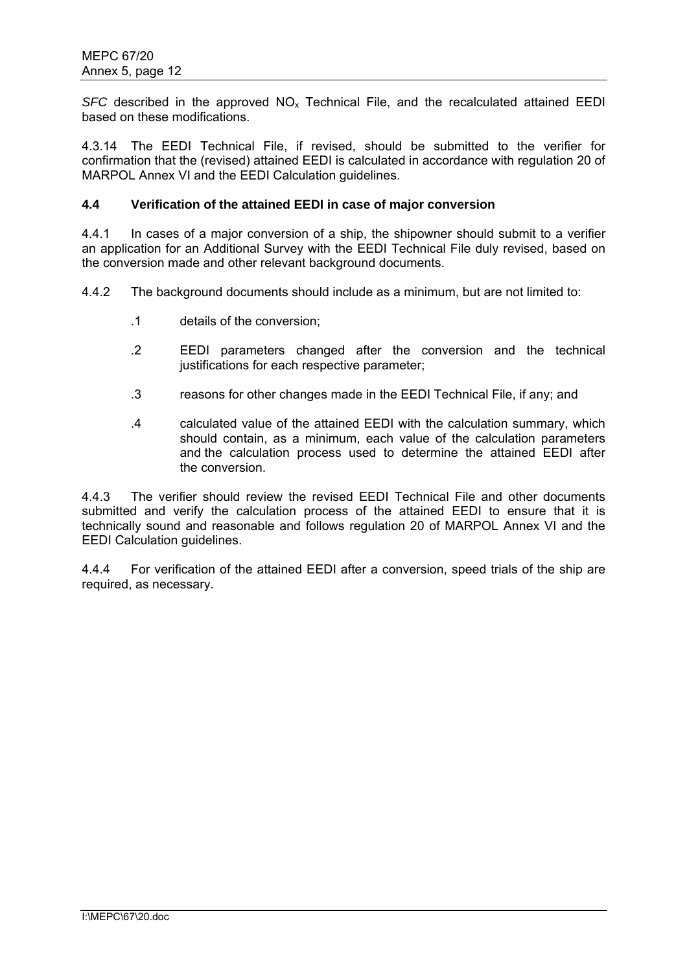*SFC* described in the approved  $NO<sub>x</sub>$  Technical File, and the recalculated attained EEDI based on these modifications.

4.3.14 The EEDI Technical File, if revised, should be submitted to the verifier for confirmation that the (revised) attained EEDI is calculated in accordance with regulation 20 of MARPOL Annex VI and the EEDI Calculation guidelines.

#### **4.4 Verification of the attained EEDI in case of major conversion**

4.4.1 In cases of a major conversion of a ship, the shipowner should submit to a verifier an application for an Additional Survey with the EEDI Technical File duly revised, based on the conversion made and other relevant background documents.

4.4.2 The background documents should include as a minimum, but are not limited to:

- .1 details of the conversion;
- .2 EEDI parameters changed after the conversion and the technical justifications for each respective parameter;
- .3 reasons for other changes made in the EEDI Technical File, if any; and
- .4 calculated value of the attained EEDI with the calculation summary, which should contain, as a minimum, each value of the calculation parameters and the calculation process used to determine the attained EEDI after the conversion.

4.4.3 The verifier should review the revised EEDI Technical File and other documents submitted and verify the calculation process of the attained EEDI to ensure that it is technically sound and reasonable and follows regulation 20 of MARPOL Annex VI and the EEDI Calculation guidelines.

4.4.4 For verification of the attained EEDI after a conversion, speed trials of the ship are required, as necessary.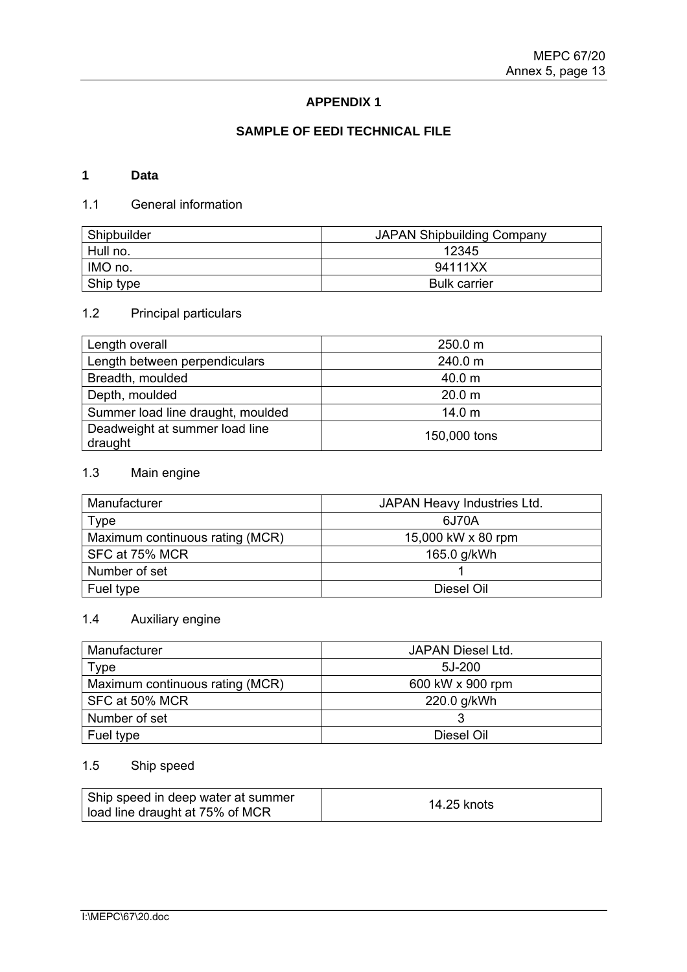## **APPENDIX 1**

## **SAMPLE OF EEDI TECHNICAL FILE**

### **1 Data**

## 1.1 General information

| Shipbuilder | <b>JAPAN Shipbuilding Company</b> |  |
|-------------|-----------------------------------|--|
| Hull no.    | 12345                             |  |
| IMO no.     | 94111XX                           |  |
| Ship type   | <b>Bulk carrier</b>               |  |

# 1.2 Principal particulars

| Length overall                            | 250.0 m           |
|-------------------------------------------|-------------------|
| Length between perpendiculars             | 240.0 m           |
| Breadth, moulded                          | 40.0 m            |
| Depth, moulded                            | 20.0 <sub>m</sub> |
| Summer load line draught, moulded         | 14.0 <sub>m</sub> |
| Deadweight at summer load line<br>draught | 150,000 tons      |

# 1.3 Main engine

| Manufacturer                    | JAPAN Heavy Industries Ltd. |
|---------------------------------|-----------------------------|
| Type                            | 6J70A                       |
| Maximum continuous rating (MCR) | 15,000 kW x 80 rpm          |
| SFC at 75% MCR                  | 165.0 g/kWh                 |
| Number of set                   |                             |
| Fuel type                       | Diesel Oil                  |

# 1.4 Auxiliary engine

| Manufacturer                    | JAPAN Diesel Ltd. |
|---------------------------------|-------------------|
| Type                            | 5J-200            |
| Maximum continuous rating (MCR) | 600 kW x 900 rpm  |
| SFC at 50% MCR                  | 220.0 g/kWh       |
| Number of set                   |                   |
| Fuel type                       | Diesel Oil        |

## 1.5 Ship speed

| Ship speed in deep water at summer | 14.25 knots |
|------------------------------------|-------------|
| l load line draught at 75% of MCR  |             |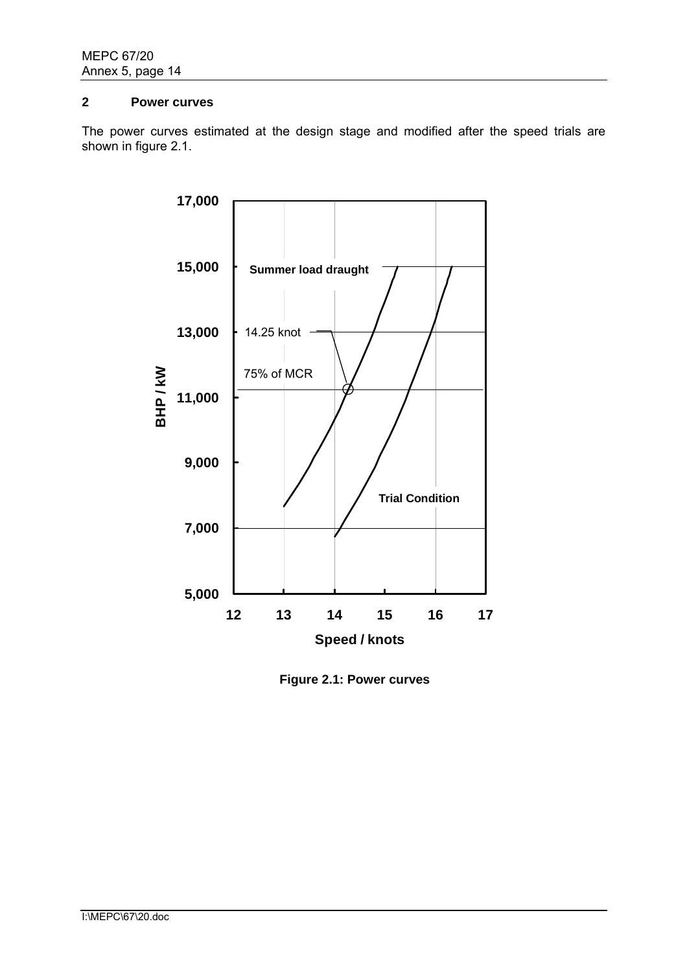### **2 Power curves**

The power curves estimated at the design stage and modified after the speed trials are shown in figure 2.1.



**Figure 2.1: Power curves**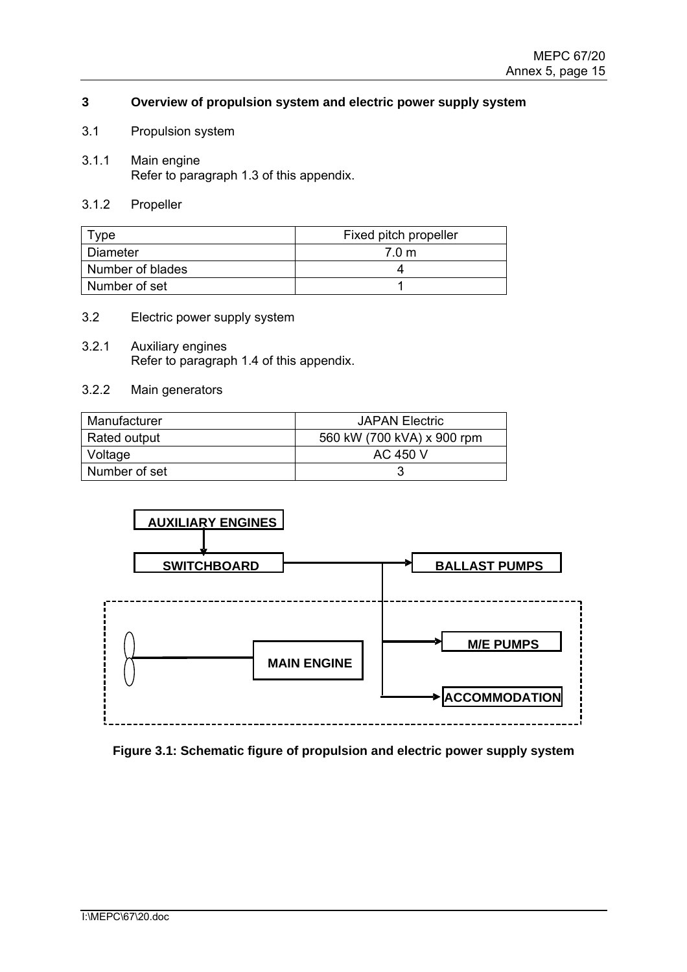### **3 Overview of propulsion system and electric power supply system**

- 3.1 Propulsion system
- 3.1.1 Main engine Refer to paragraph 1.3 of this appendix.
- 3.1.2 Propeller

| түре             | Fixed pitch propeller |  |
|------------------|-----------------------|--|
| Diameter         | 7.0 m                 |  |
| Number of blades |                       |  |
| I Number of set  |                       |  |

- 3.2 Electric power supply system
- 3.2.1 Auxiliary engines Refer to paragraph 1.4 of this appendix.
- 3.2.2 Main generators

| Manufacturer  | <b>JAPAN Electric</b>      |
|---------------|----------------------------|
| Rated output  | 560 kW (700 kVA) x 900 rpm |
| Voltage       | AC 450 V                   |
| Number of set |                            |



**Figure 3.1: Schematic figure of propulsion and electric power supply system**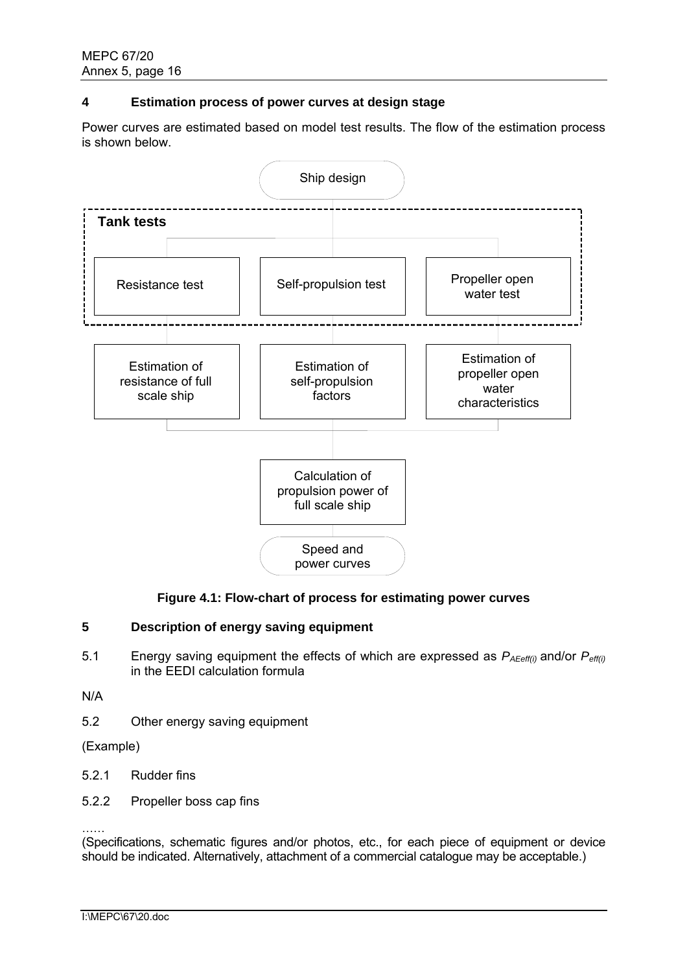### **4 Estimation process of power curves at design stage**

Power curves are estimated based on model test results. The flow of the estimation process is shown below.



## **Figure 4.1: Flow-chart of process for estimating power curves**

## **5 Description of energy saving equipment**

5.1 Energy saving equipment the effects of which are expressed as *PAEeff(i)* and/or *Peff(i)* in the EEDI calculation formula

N/A

5.2 Other energy saving equipment

(Example)

- 5.2.1 Rudder fins
- 5.2.2 Propeller boss cap fins

…… (Specifications, schematic figures and/or photos, etc., for each piece of equipment or device should be indicated. Alternatively, attachment of a commercial catalogue may be acceptable.)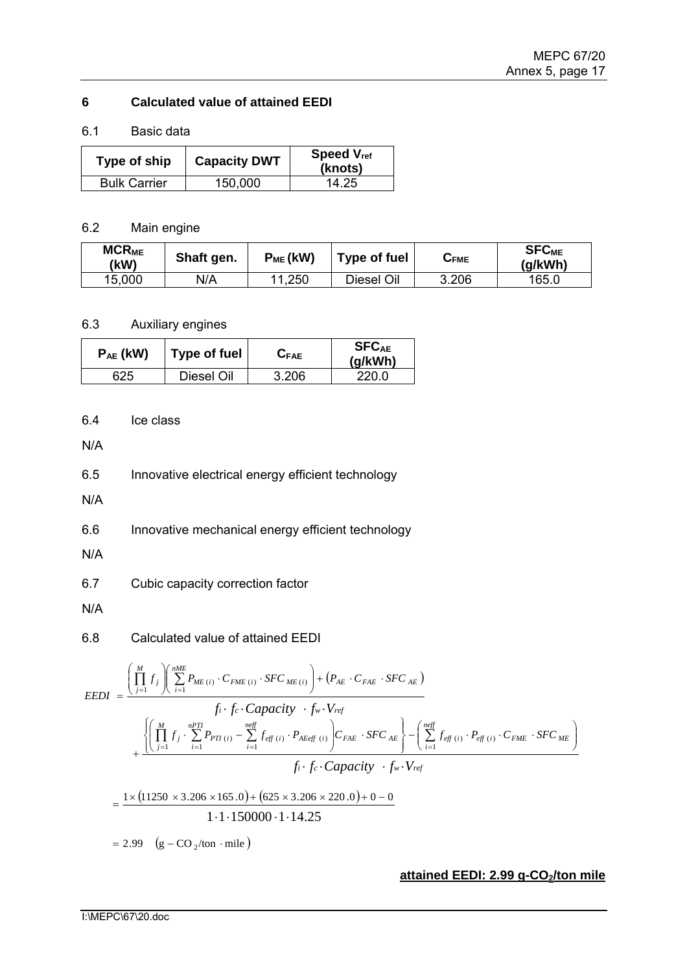## **6 Calculated value of attained EEDI**

### 6.1 Basic data

| Type of ship        | <b>Capacity DWT</b> | <b>Speed V<sub>ref</sub></b><br>(knots) |
|---------------------|---------------------|-----------------------------------------|
| <b>Bulk Carrier</b> | 150,000             | 14.25                                   |

### 6.2 Main engine

| <b>MCR<sub>ME</sub></b><br>(kW) | Shaft gen. | $P_{ME}$ (kW) | Type of fuel | $\triangleright$ FME | <b>SFC<sub>ME</sub></b><br>(g/kWh) |
|---------------------------------|------------|---------------|--------------|----------------------|------------------------------------|
| 15,000                          | N/A        | 11,250        | Diesel Oil   | 3.206                | 165.0                              |

## 6.3 Auxiliary engines

| $P_{AE}$ (kW) | Type of fuel | $G_{\mathsf{FAE}}$ | <b>SFCAE</b><br>(g/kWh) |
|---------------|--------------|--------------------|-------------------------|
| 625           | Diesel Oil   | 3.206              | 220.0                   |

## 6.4 Ice class

N/A

6.5 Innovative electrical energy efficient technology

N/A

6.6 Innovative mechanical energy efficient technology

N/A

6.7 Cubic capacity correction factor

N/A

## 6.8 Calculated value of attained EEDI

$$
EEDI = \frac{\left(\prod_{j=1}^{M} f_{j}\right)\left(\sum_{i=1}^{mME} P_{ME(i)} \cdot C_{FME(i)} \cdot SFC_{ME(i)}\right) + \left(P_{AE} \cdot C_{FAE} \cdot SFC_{AE}\right)}{f_{i} \cdot f_{c} \cdot Capacity \cdot f_{w} \cdot V_{ref}}
$$
\n
$$
+ \frac{\left{\left(\prod_{j=1}^{M} f_{j}\right)\sum_{i=1}^{nPT} P_{PT(i)} - \sum_{i=1}^{neff} f_{eff(i)} \cdot P_{AEGf(i)}\right)C_{FAE} \cdot SFC_{AE}}\right\} - \left(\sum_{i=1}^{neff} f_{eff(i)} \cdot P_{eff(i)} \cdot C_{FME} \cdot SFC_{ME}}{f_{i} \cdot f_{c} \cdot Capacity \cdot f_{w} \cdot V_{ref}}
$$
\n
$$
= \frac{1 \times (11250 \times 3.206 \times 165.0) + (625 \times 3.206 \times 220.0) + 0 - 0}{1 \cdot 1 \cdot 150000 \cdot 1 \cdot 14.25}
$$
\n
$$
= 2.99 \quad (g - CO_{2}/\text{ton} \cdot \text{mile})
$$

### **attained EEDI: 2.99 g-CO<sub>2</sub>/ton mile**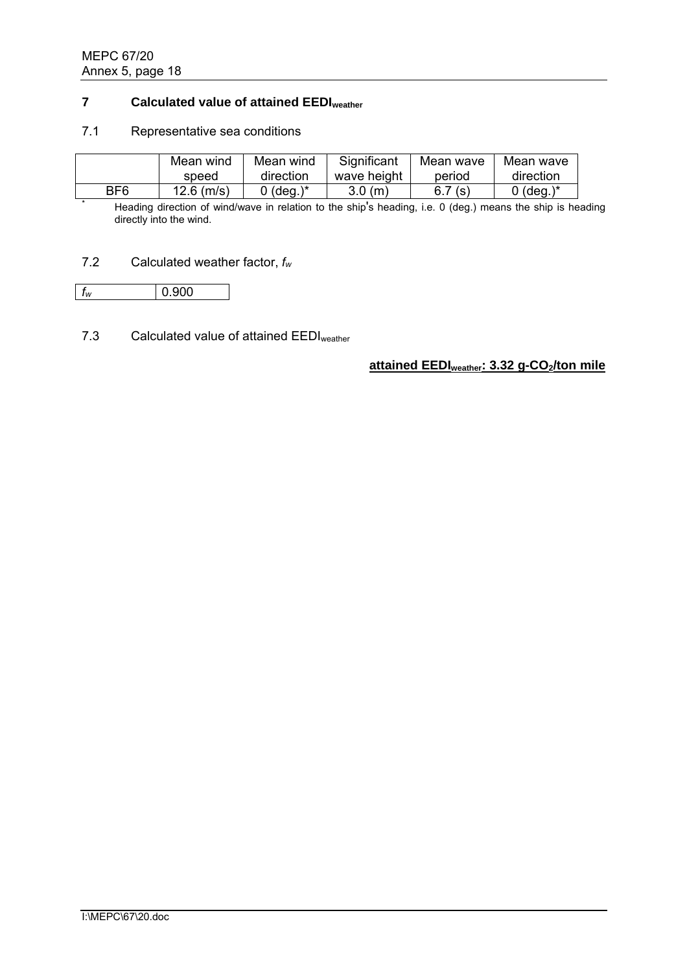## **7 Calculated value of attained EEDIweather**

#### 7.1 Representative sea conditions

|     | Mean wind    | Mean wind       | Significant | Mean wave | Mean wave |
|-----|--------------|-----------------|-------------|-----------|-----------|
|     | speed        | direction       | wave height | period    | direction |
| BF6 | $12.6$ (m/s) | $\Omega$ (deg.) | 3.0(m)      | 6.7(s)    | 0 (deg.)* |

BF6 12.6 (m/s) 0 (deg.)\* 3.0 (m) 6.7 (s) 0 (deg.)\*<br>
<sup>\*</sup> Heading direction of wind/wave in relation to the ship's heading, i.e. 0 (deg.) means the ship is heading directly into the wind.

### 7.2 Calculated weather factor, *fw*

| 1w | 900 |
|----|-----|
|    |     |

## 7.3 Calculated value of attained EEDI<sub>weather</sub>

**attained EEDI**weather: 3.32 g-CO<sub>2</sub>/ton mile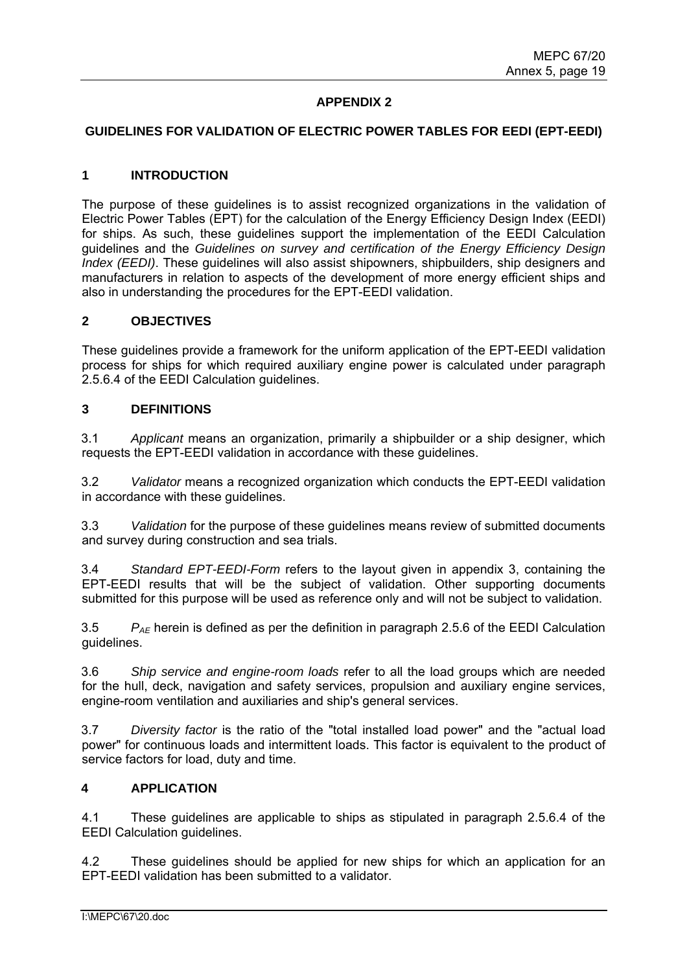## **APPENDIX 2**

#### **GUIDELINES FOR VALIDATION OF ELECTRIC POWER TABLES FOR EEDI (EPT-EEDI)**

#### **1 INTRODUCTION**

The purpose of these guidelines is to assist recognized organizations in the validation of Electric Power Tables (EPT) for the calculation of the Energy Efficiency Design Index (EEDI) for ships. As such, these guidelines support the implementation of the EEDI Calculation guidelines and the *Guidelines on survey and certification of the Energy Efficiency Design Index (EEDI)*. These guidelines will also assist shipowners, shipbuilders, ship designers and manufacturers in relation to aspects of the development of more energy efficient ships and also in understanding the procedures for the EPT-EEDI validation.

#### **2 OBJECTIVES**

These guidelines provide a framework for the uniform application of the EPT-EEDI validation process for ships for which required auxiliary engine power is calculated under paragraph 2.5.6.4 of the EEDI Calculation guidelines.

#### **3 DEFINITIONS**

3.1 *Applicant* means an organization, primarily a shipbuilder or a ship designer, which requests the EPT-EEDI validation in accordance with these guidelines.

3.2 *Validator* means a recognized organization which conducts the EPT-EEDI validation in accordance with these guidelines.

3.3 *Validation* for the purpose of these guidelines means review of submitted documents and survey during construction and sea trials.

3.4 *Standard EPT-EEDI-Form* refers to the layout given in appendix 3, containing the EPT-EEDI results that will be the subject of validation. Other supporting documents submitted for this purpose will be used as reference only and will not be subject to validation.

3.5 *PAE* herein is defined as per the definition in paragraph 2.5.6 of the EEDI Calculation guidelines.

3.6 *Ship service and engine-room loads* refer to all the load groups which are needed for the hull, deck, navigation and safety services, propulsion and auxiliary engine services, engine-room ventilation and auxiliaries and ship's general services.

3.7 *Diversity factor* is the ratio of the "total installed load power" and the "actual load power" for continuous loads and intermittent loads. This factor is equivalent to the product of service factors for load, duty and time.

#### **4 APPLICATION**

4.1 These guidelines are applicable to ships as stipulated in paragraph 2.5.6.4 of the EEDI Calculation guidelines.

4.2 These guidelines should be applied for new ships for which an application for an EPT-EEDI validation has been submitted to a validator.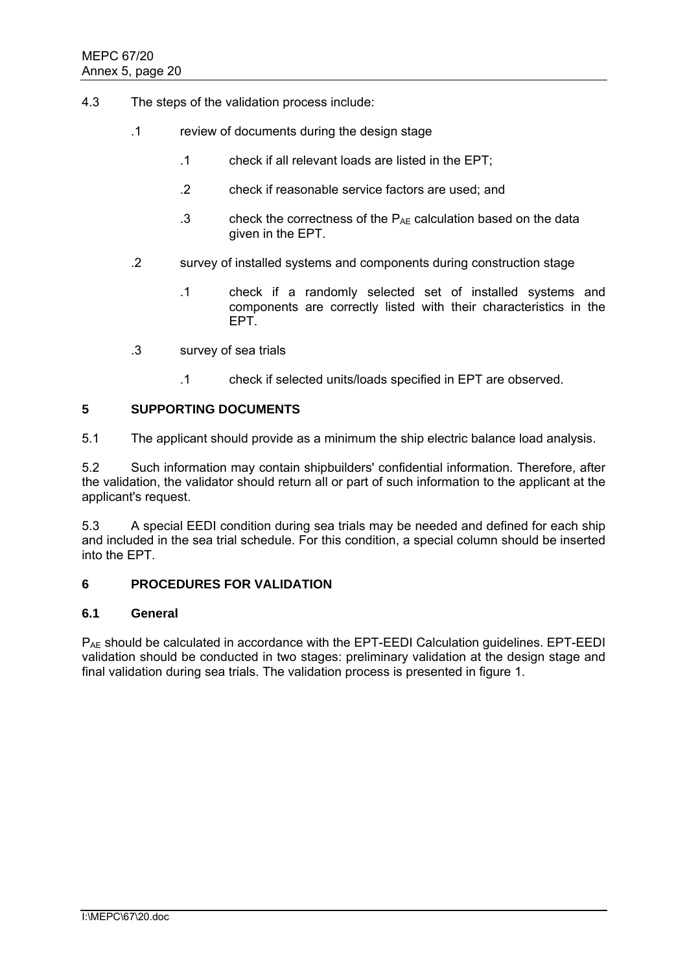- 4.3 The steps of the validation process include:
	- .1 review of documents during the design stage
		- .1 check if all relevant loads are listed in the EPT;
		- .2 check if reasonable service factors are used; and
		- .3 check the correctness of the  $P_{AE}$  calculation based on the data given in the EPT.
	- .2 survey of installed systems and components during construction stage
		- .1 check if a randomly selected set of installed systems and components are correctly listed with their characteristics in the EPT.
	- .3 survey of sea trials
		- .1 check if selected units/loads specified in EPT are observed.

#### **5 SUPPORTING DOCUMENTS**

5.1 The applicant should provide as a minimum the ship electric balance load analysis.

5.2 Such information may contain shipbuilders' confidential information. Therefore, after the validation, the validator should return all or part of such information to the applicant at the applicant's request.

5.3 A special EEDI condition during sea trials may be needed and defined for each ship and included in the sea trial schedule. For this condition, a special column should be inserted into the EPT.

### **6 PROCEDURES FOR VALIDATION**

#### **6.1 General**

PAE should be calculated in accordance with the EPT-EEDI Calculation guidelines. EPT-EEDI validation should be conducted in two stages: preliminary validation at the design stage and final validation during sea trials. The validation process is presented in figure 1.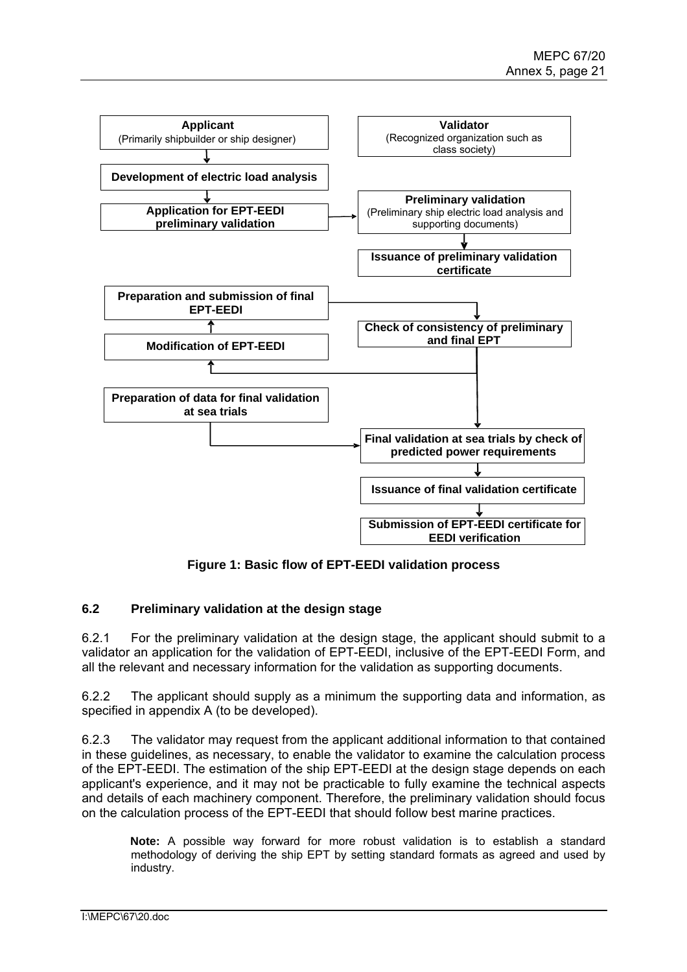

**Figure 1: Basic flow of EPT-EEDI validation process** 

### **6.2 Preliminary validation at the design stage**

6.2.1 For the preliminary validation at the design stage, the applicant should submit to a validator an application for the validation of EPT-EEDI, inclusive of the EPT-EEDI Form, and all the relevant and necessary information for the validation as supporting documents.

6.2.2 The applicant should supply as a minimum the supporting data and information, as specified in appendix A (to be developed).

6.2.3 The validator may request from the applicant additional information to that contained in these guidelines, as necessary, to enable the validator to examine the calculation process of the EPT-EEDI. The estimation of the ship EPT-EEDI at the design stage depends on each applicant's experience, and it may not be practicable to fully examine the technical aspects and details of each machinery component. Therefore, the preliminary validation should focus on the calculation process of the EPT-EEDI that should follow best marine practices.

**Note:** A possible way forward for more robust validation is to establish a standard methodology of deriving the ship EPT by setting standard formats as agreed and used by industry.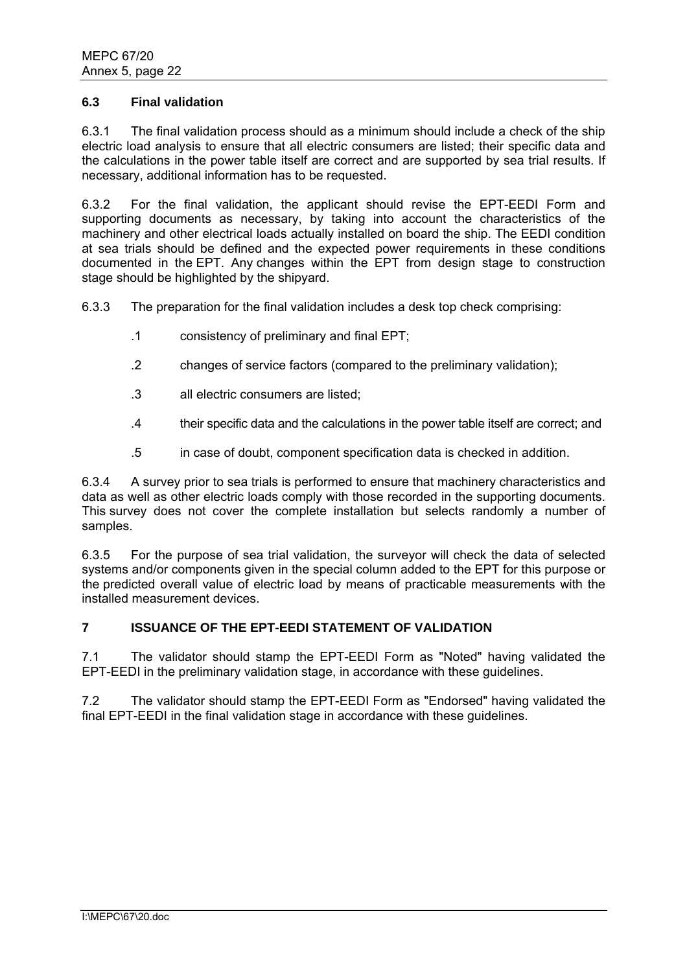#### **6.3 Final validation**

6.3.1 The final validation process should as a minimum should include a check of the ship electric load analysis to ensure that all electric consumers are listed; their specific data and the calculations in the power table itself are correct and are supported by sea trial results. If necessary, additional information has to be requested.

6.3.2 For the final validation, the applicant should revise the EPT-EEDI Form and supporting documents as necessary, by taking into account the characteristics of the machinery and other electrical loads actually installed on board the ship. The EEDI condition at sea trials should be defined and the expected power requirements in these conditions documented in the EPT. Any changes within the EPT from design stage to construction stage should be highlighted by the shipyard.

6.3.3 The preparation for the final validation includes a desk top check comprising:

- .1 consistency of preliminary and final EPT;
- .2 changes of service factors (compared to the preliminary validation);
- .3 all electric consumers are listed;
- .4 their specific data and the calculations in the power table itself are correct; and
- .5 in case of doubt, component specification data is checked in addition.

6.3.4 A survey prior to sea trials is performed to ensure that machinery characteristics and data as well as other electric loads comply with those recorded in the supporting documents. This survey does not cover the complete installation but selects randomly a number of samples.

6.3.5 For the purpose of sea trial validation, the surveyor will check the data of selected systems and/or components given in the special column added to the EPT for this purpose or the predicted overall value of electric load by means of practicable measurements with the installed measurement devices.

# **7 ISSUANCE OF THE EPT-EEDI STATEMENT OF VALIDATION**

7.1 The validator should stamp the EPT-EEDI Form as "Noted" having validated the EPT-EEDI in the preliminary validation stage, in accordance with these guidelines.

7.2 The validator should stamp the EPT-EEDI Form as "Endorsed" having validated the final EPT-EEDI in the final validation stage in accordance with these guidelines.